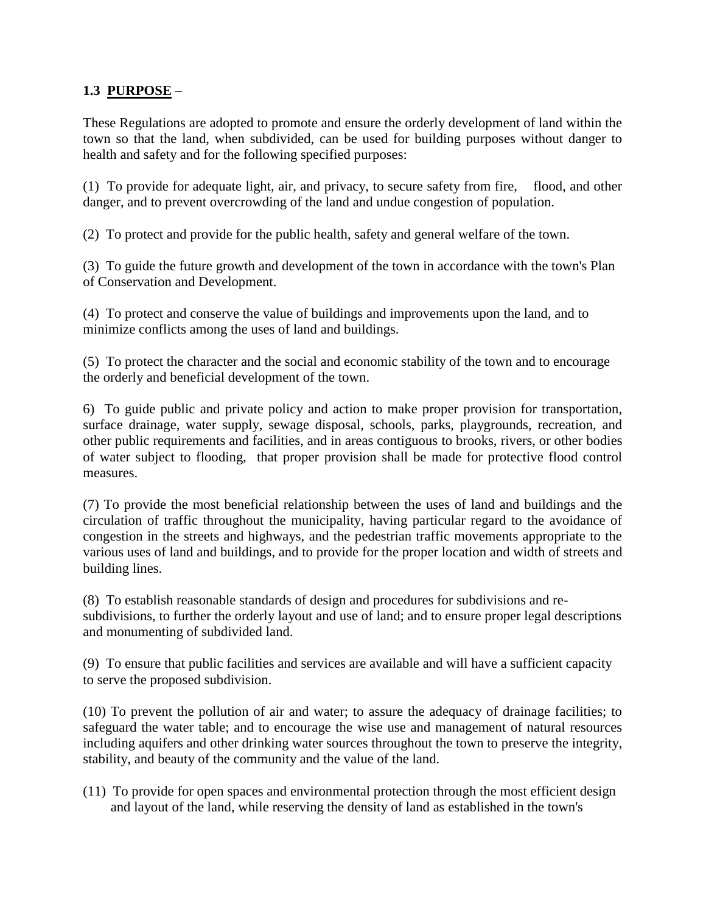## **1.3 PURPOSE** –

These Regulations are adopted to promote and ensure the orderly development of land within the town so that the land, when subdivided, can be used for building purposes without danger to health and safety and for the following specified purposes:

(1) To provide for adequate light, air, and privacy, to secure safety from fire, flood, and other danger, and to prevent overcrowding of the land and undue congestion of population.

(2) To protect and provide for the public health, safety and general welfare of the town.

(3) To guide the future growth and development of the town in accordance with the town's Plan of Conservation and Development.

(4) To protect and conserve the value of buildings and improvements upon the land, and to minimize conflicts among the uses of land and buildings.

(5) To protect the character and the social and economic stability of the town and to encourage the orderly and beneficial development of the town.

6) To guide public and private policy and action to make proper provision for transportation, surface drainage, water supply, sewage disposal, schools, parks, playgrounds, recreation, and other public requirements and facilities, and in areas contiguous to brooks, rivers, or other bodies of water subject to flooding, that proper provision shall be made for protective flood control measures.

(7) To provide the most beneficial relationship between the uses of land and buildings and the circulation of traffic throughout the municipality, having particular regard to the avoidance of congestion in the streets and highways, and the pedestrian traffic movements appropriate to the various uses of land and buildings, and to provide for the proper location and width of streets and building lines.

(8) To establish reasonable standards of design and procedures for subdivisions and resubdivisions, to further the orderly layout and use of land; and to ensure proper legal descriptions and monumenting of subdivided land.

(9) To ensure that public facilities and services are available and will have a sufficient capacity to serve the proposed subdivision.

(10) To prevent the pollution of air and water; to assure the adequacy of drainage facilities; to safeguard the water table; and to encourage the wise use and management of natural resources including aquifers and other drinking water sources throughout the town to preserve the integrity, stability, and beauty of the community and the value of the land.

(11) To provide for open spaces and environmental protection through the most efficient design and layout of the land, while reserving the density of land as established in the town's